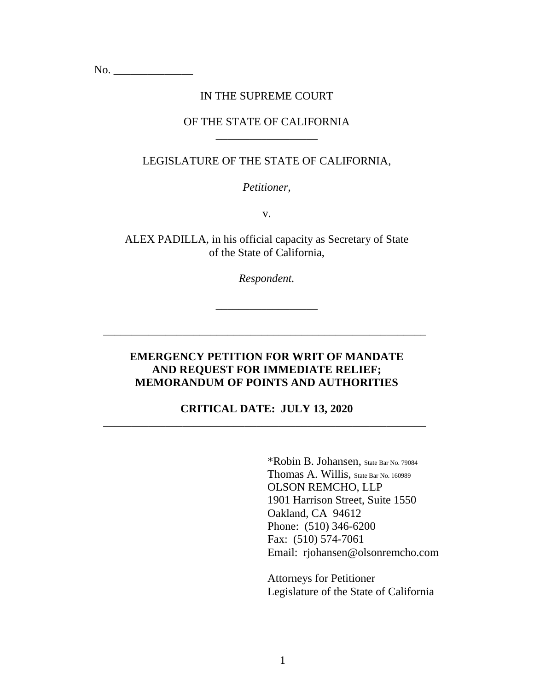No. \_\_\_\_\_\_\_\_\_\_\_\_\_\_

### IN THE SUPREME COURT

### OF THE STATE OF CALIFORNIA \_\_\_\_\_\_\_\_\_\_\_\_\_\_\_\_\_\_

### LEGISLATURE OF THE STATE OF CALIFORNIA,

*Petitioner,*

v.

ALEX PADILLA, in his official capacity as Secretary of State of the State of California,

*Respondent.*

\_\_\_\_\_\_\_\_\_\_\_\_\_\_\_\_\_\_

\_\_\_\_\_\_\_\_\_\_\_\_\_\_\_\_\_\_\_\_\_\_\_\_\_\_\_\_\_\_\_\_\_\_\_\_\_\_\_\_\_\_\_\_\_\_\_\_\_\_\_\_\_\_\_\_\_

### **EMERGENCY PETITION FOR WRIT OF MANDATE AND REQUEST FOR IMMEDIATE RELIEF; MEMORANDUM OF POINTS AND AUTHORITIES**

### **CRITICAL DATE: JULY 13, 2020** \_\_\_\_\_\_\_\_\_\_\_\_\_\_\_\_\_\_\_\_\_\_\_\_\_\_\_\_\_\_\_\_\_\_\_\_\_\_\_\_\_\_\_\_\_\_\_\_\_\_\_\_\_\_\_\_\_

\*Robin B. Johansen, State Bar No. 79084 Thomas A. Willis, State Bar No. 160989 OLSON REMCHO, LLP 1901 Harrison Street, Suite 1550 Oakland, CA 94612 Phone: (510) 346-6200 Fax: (510) 574-7061 Email: rjohansen@olsonremcho.com

Attorneys for Petitioner Legislature of the State of California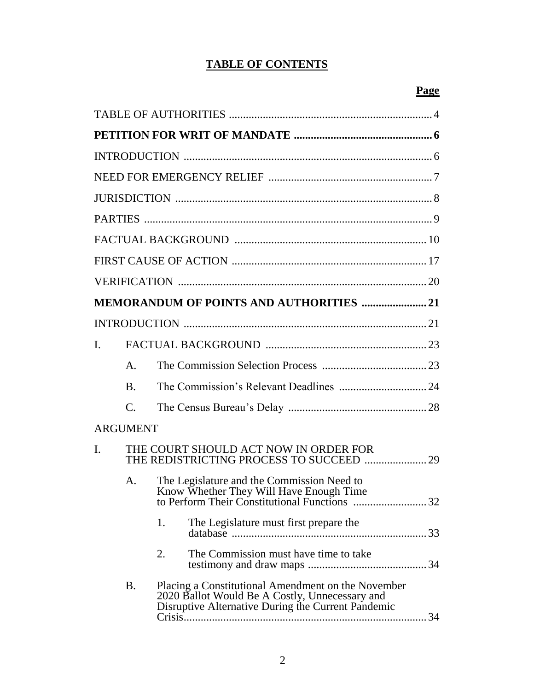## **TABLE OF CONTENTS**

|                |                 | <b>MEMORANDUM OF POINTS AND AUTHORITIES 21</b>                                                                                                             |  |
|----------------|-----------------|------------------------------------------------------------------------------------------------------------------------------------------------------------|--|
|                |                 |                                                                                                                                                            |  |
| $\mathbf{I}$ . |                 |                                                                                                                                                            |  |
|                | $\mathsf{A}$ .  |                                                                                                                                                            |  |
|                | <b>B.</b>       |                                                                                                                                                            |  |
|                | $\mathbf{C}$ .  |                                                                                                                                                            |  |
|                | <b>ARGUMENT</b> |                                                                                                                                                            |  |
| I.             |                 | THE COURT SHOULD ACT NOW IN ORDER FOR<br>THE REDISTRICTING PROCESS TO SUCCEED  29                                                                          |  |
|                | $\mathsf{A}$ .  | The Legislature and the Commission Need to                                                                                                                 |  |
|                |                 | 1.<br>The Legislature must first prepare the                                                                                                               |  |
|                |                 | The Commission must have time to take<br>2.                                                                                                                |  |
|                | <b>B.</b>       | Placing a Constitutional Amendment on the November<br>2020 Ballot Would Be A Costly, Unnecessary and<br>Disruptive Alternative During the Current Pandemic |  |

### **Page**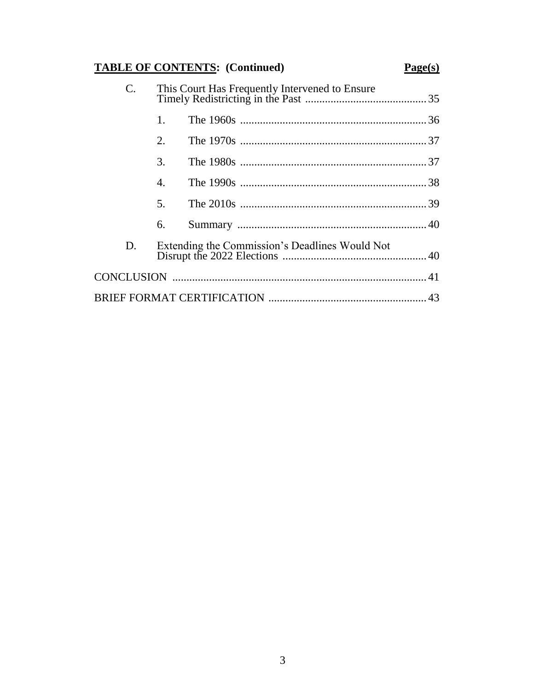# **TABLE OF CONTENTS: (Continued)**

## $Page(s)$

| C. |                | This Court Has Frequently Intervened to Ensure |  |
|----|----------------|------------------------------------------------|--|
|    | 1.             |                                                |  |
|    | 2.             |                                                |  |
|    | 3.             |                                                |  |
|    | 4.             |                                                |  |
|    | 5 <sub>1</sub> |                                                |  |
|    | 6.             |                                                |  |
| D. |                | Extending the Commission's Deadlines Would Not |  |
|    |                |                                                |  |
|    |                |                                                |  |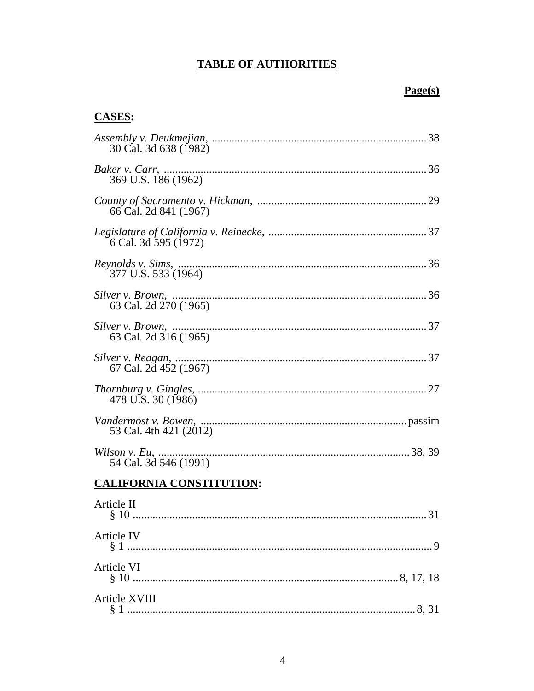## **TABLE OF AUTHORITIES**

## $Page(s)$

## **CASES:**

| 30 Cal. 3d 638 (1982)           |
|---------------------------------|
| 369 U.S. 186 (1962)             |
| 66 Cal. 2d 841 (1967)           |
| 6 Cal. 3d 595 (1972)            |
| 377 U.S. 533 (1964)             |
| 63 Cal. 2d 270 (1965)           |
| 63 Cal. 2d 316 (1965)           |
| 67 Cal. 2d 452 (1967)           |
| 478 U.S. 30 (1986)              |
| 53 Cal. 4th 421 (2012)          |
| 54 Cal. 3d 546 (1991)           |
| <b>CALIFORNIA CONSTITUTION:</b> |
| Article II                      |
| <b>Article IV</b>               |
| <b>Article VI</b>               |
| <b>Article XVIII</b>            |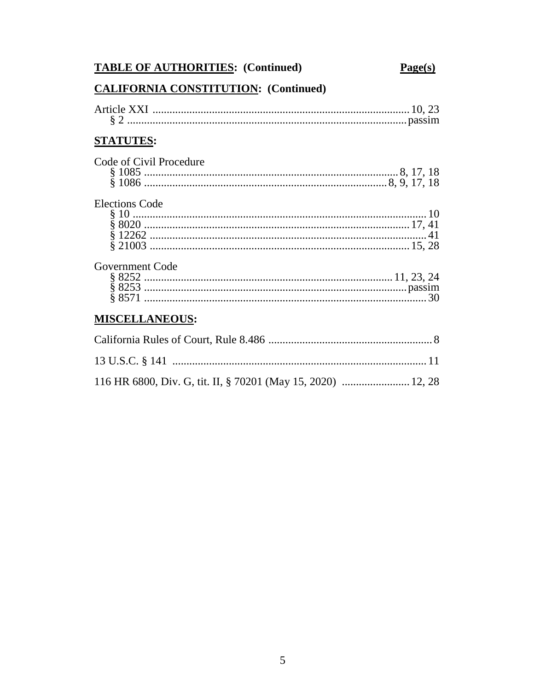# **TABLE OF AUTHORITIES:** (Continued)

## $Page(s)$

# **CALIFORNIA CONSTITUTION: (Continued)**

| <b>STATUTES:</b>        |  |
|-------------------------|--|
| Code of Civil Procedure |  |
| <b>Elections Code</b>   |  |
| Government Code         |  |
| <b>MISCELLANEOUS:</b>   |  |
|                         |  |
|                         |  |

|  |  | 116 HR 6800, Div. G, tit. II, § 70201 (May 15, 2020)  12, 28 |
|--|--|--------------------------------------------------------------|
|  |  |                                                              |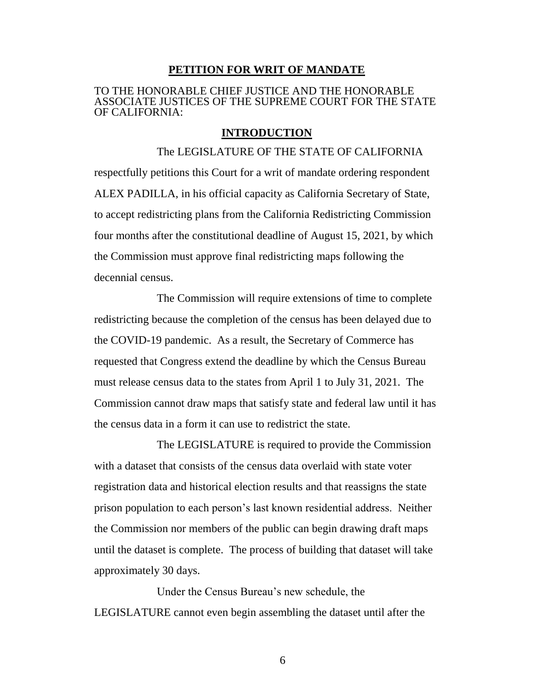#### **PETITION FOR WRIT OF MANDATE**

#### TO THE HONORABLE CHIEF JUSTICE AND THE HONORABLE ASSOCIATE JUSTICES OF THE SUPREME COURT FOR THE STATE OF CALIFORNIA:

#### **INTRODUCTION**

The LEGISLATURE OF THE STATE OF CALIFORNIA respectfully petitions this Court for a writ of mandate ordering respondent ALEX PADILLA, in his official capacity as California Secretary of State, to accept redistricting plans from the California Redistricting Commission four months after the constitutional deadline of August 15, 2021, by which the Commission must approve final redistricting maps following the decennial census.

The Commission will require extensions of time to complete redistricting because the completion of the census has been delayed due to the COVID-19 pandemic. As a result, the Secretary of Commerce has requested that Congress extend the deadline by which the Census Bureau must release census data to the states from April 1 to July 31, 2021. The Commission cannot draw maps that satisfy state and federal law until it has the census data in a form it can use to redistrict the state.

The LEGISLATURE is required to provide the Commission with a dataset that consists of the census data overlaid with state voter registration data and historical election results and that reassigns the state prison population to each person's last known residential address. Neither the Commission nor members of the public can begin drawing draft maps until the dataset is complete. The process of building that dataset will take approximately 30 days.

Under the Census Bureau's new schedule, the LEGISLATURE cannot even begin assembling the dataset until after the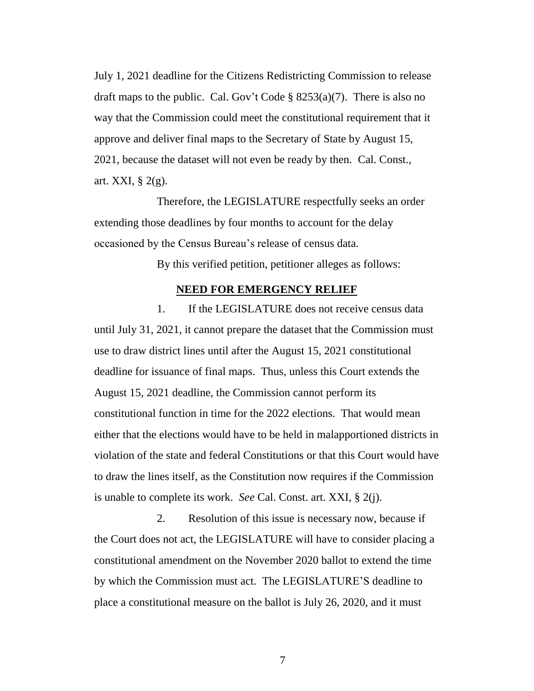July 1, 2021 deadline for the Citizens Redistricting Commission to release draft maps to the public. Cal. Gov't Code  $\S$  8253(a)(7). There is also no way that the Commission could meet the constitutional requirement that it approve and deliver final maps to the Secretary of State by August 15, 2021, because the dataset will not even be ready by then. Cal. Const., art. XXI, § 2(g).

Therefore, the LEGISLATURE respectfully seeks an order extending those deadlines by four months to account for the delay occasioned by the Census Bureau's release of census data.

By this verified petition, petitioner alleges as follows:

### **NEED FOR EMERGENCY RELIEF**

1. If the LEGISLATURE does not receive census data until July 31, 2021, it cannot prepare the dataset that the Commission must use to draw district lines until after the August 15, 2021 constitutional deadline for issuance of final maps. Thus, unless this Court extends the August 15, 2021 deadline, the Commission cannot perform its constitutional function in time for the 2022 elections. That would mean either that the elections would have to be held in malapportioned districts in violation of the state and federal Constitutions or that this Court would have to draw the lines itself, as the Constitution now requires if the Commission is unable to complete its work. *See* Cal. Const. art. XXI, § 2(j).

2. Resolution of this issue is necessary now, because if the Court does not act, the LEGISLATURE will have to consider placing a constitutional amendment on the November 2020 ballot to extend the time by which the Commission must act. The LEGISLATURE'S deadline to place a constitutional measure on the ballot is July 26, 2020, and it must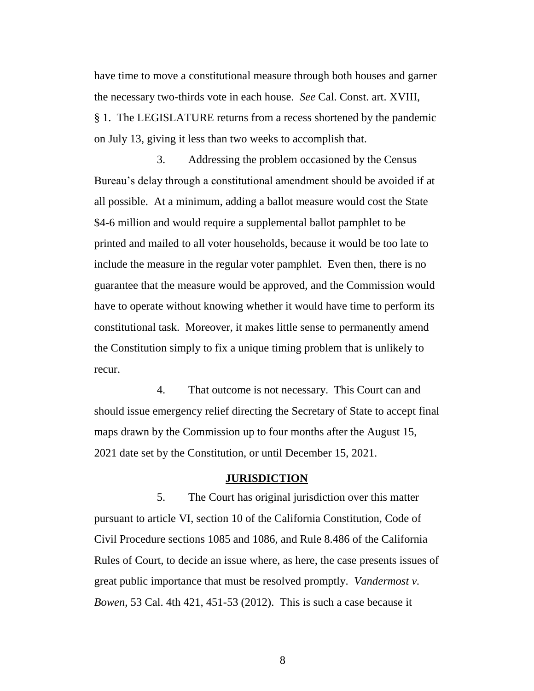have time to move a constitutional measure through both houses and garner the necessary two-thirds vote in each house. *See* Cal. Const. art. XVIII, § 1. The LEGISLATURE returns from a recess shortened by the pandemic on July 13, giving it less than two weeks to accomplish that.

3. Addressing the problem occasioned by the Census Bureau's delay through a constitutional amendment should be avoided if at all possible. At a minimum, adding a ballot measure would cost the State \$4-6 million and would require a supplemental ballot pamphlet to be printed and mailed to all voter households, because it would be too late to include the measure in the regular voter pamphlet. Even then, there is no guarantee that the measure would be approved, and the Commission would have to operate without knowing whether it would have time to perform its constitutional task. Moreover, it makes little sense to permanently amend the Constitution simply to fix a unique timing problem that is unlikely to recur.

4. That outcome is not necessary. This Court can and should issue emergency relief directing the Secretary of State to accept final maps drawn by the Commission up to four months after the August 15, 2021 date set by the Constitution, or until December 15, 2021.

#### **JURISDICTION**

5. The Court has original jurisdiction over this matter pursuant to article VI, section 10 of the California Constitution, Code of Civil Procedure sections 1085 and 1086, and Rule 8.486 of the California Rules of Court, to decide an issue where, as here, the case presents issues of great public importance that must be resolved promptly. *Vandermost v. Bowen*, 53 Cal. 4th 421, 451-53 (2012). This is such a case because it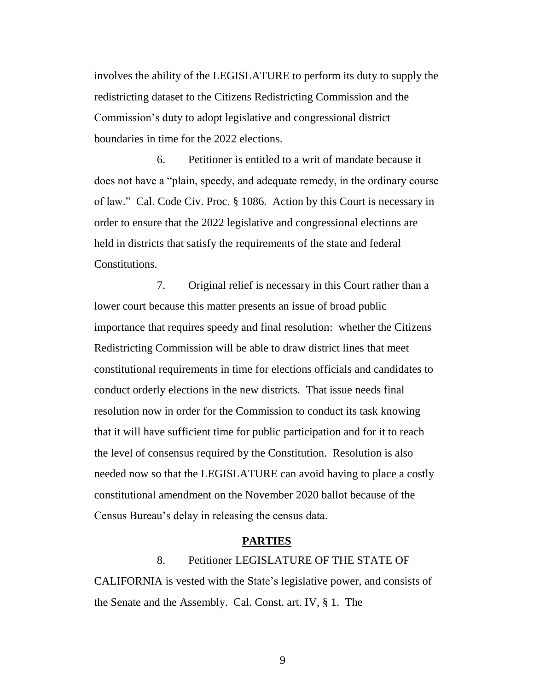involves the ability of the LEGISLATURE to perform its duty to supply the redistricting dataset to the Citizens Redistricting Commission and the Commission's duty to adopt legislative and congressional district boundaries in time for the 2022 elections.

6. Petitioner is entitled to a writ of mandate because it does not have a "plain, speedy, and adequate remedy, in the ordinary course of law." Cal. Code Civ. Proc. § 1086. Action by this Court is necessary in order to ensure that the 2022 legislative and congressional elections are held in districts that satisfy the requirements of the state and federal Constitutions.

7. Original relief is necessary in this Court rather than a lower court because this matter presents an issue of broad public importance that requires speedy and final resolution: whether the Citizens Redistricting Commission will be able to draw district lines that meet constitutional requirements in time for elections officials and candidates to conduct orderly elections in the new districts. That issue needs final resolution now in order for the Commission to conduct its task knowing that it will have sufficient time for public participation and for it to reach the level of consensus required by the Constitution. Resolution is also needed now so that the LEGISLATURE can avoid having to place a costly constitutional amendment on the November 2020 ballot because of the Census Bureau's delay in releasing the census data.

#### **PARTIES**

8. Petitioner LEGISLATURE OF THE STATE OF CALIFORNIA is vested with the State's legislative power, and consists of the Senate and the Assembly. Cal. Const. art. IV, § 1. The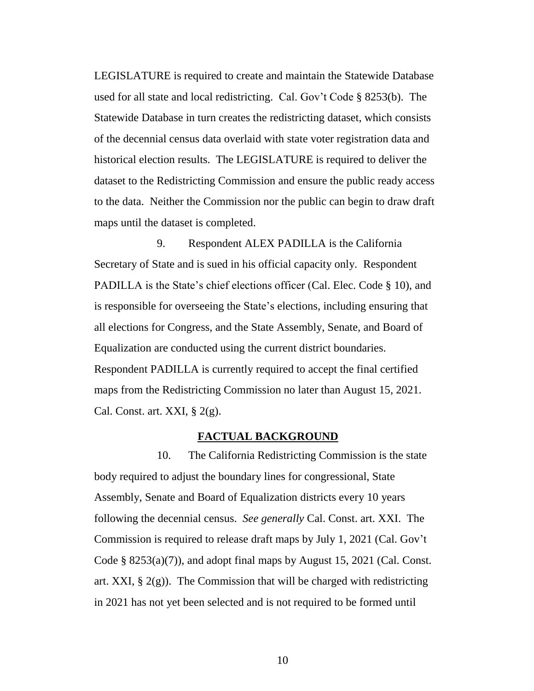LEGISLATURE is required to create and maintain the Statewide Database used for all state and local redistricting. Cal. Gov't Code § 8253(b). The Statewide Database in turn creates the redistricting dataset, which consists of the decennial census data overlaid with state voter registration data and historical election results. The LEGISLATURE is required to deliver the dataset to the Redistricting Commission and ensure the public ready access to the data. Neither the Commission nor the public can begin to draw draft maps until the dataset is completed.

9. Respondent ALEX PADILLA is the California Secretary of State and is sued in his official capacity only. Respondent PADILLA is the State's chief elections officer (Cal. Elec. Code § 10), and is responsible for overseeing the State's elections, including ensuring that all elections for Congress, and the State Assembly, Senate, and Board of Equalization are conducted using the current district boundaries. Respondent PADILLA is currently required to accept the final certified maps from the Redistricting Commission no later than August 15, 2021. Cal. Const. art. XXI,  $\S 2(g)$ .

#### **FACTUAL BACKGROUND**

10. The California Redistricting Commission is the state body required to adjust the boundary lines for congressional, State Assembly, Senate and Board of Equalization districts every 10 years following the decennial census. *See generally* Cal. Const. art. XXI. The Commission is required to release draft maps by July 1, 2021 (Cal. Gov't Code  $\S 8253(a)(7)$ , and adopt final maps by August 15, 2021 (Cal. Const. art. XXI,  $\S$  2(g)). The Commission that will be charged with redistricting in 2021 has not yet been selected and is not required to be formed until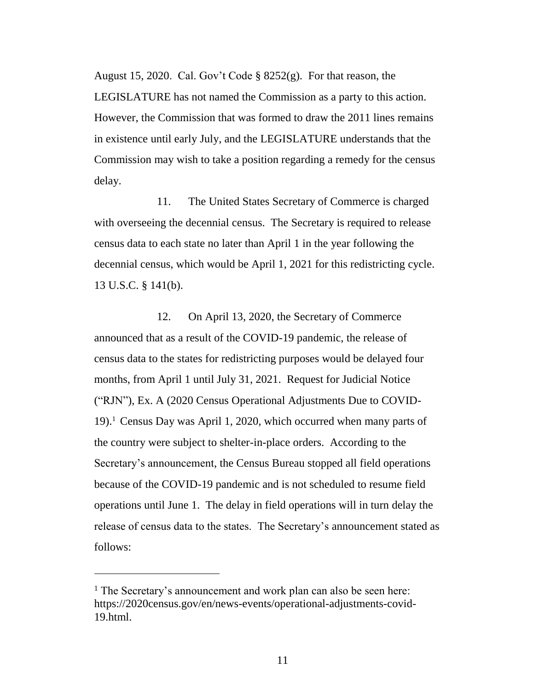August 15, 2020. Cal. Gov't Code § 8252(g). For that reason, the LEGISLATURE has not named the Commission as a party to this action. However, the Commission that was formed to draw the 2011 lines remains in existence until early July, and the LEGISLATURE understands that the Commission may wish to take a position regarding a remedy for the census delay.

11. The United States Secretary of Commerce is charged with overseeing the decennial census. The Secretary is required to release census data to each state no later than April 1 in the year following the decennial census, which would be April 1, 2021 for this redistricting cycle. 13 U.S.C. § 141(b).

12. On April 13, 2020, the Secretary of Commerce announced that as a result of the COVID-19 pandemic, the release of census data to the states for redistricting purposes would be delayed four months, from April 1 until July 31, 2021. Request for Judicial Notice ("RJN"), Ex. A (2020 Census Operational Adjustments Due to COVID-19).<sup>1</sup> Census Day was April 1, 2020, which occurred when many parts of the country were subject to shelter-in-place orders. According to the Secretary's announcement, the Census Bureau stopped all field operations because of the COVID-19 pandemic and is not scheduled to resume field operations until June 1. The delay in field operations will in turn delay the release of census data to the states. The Secretary's announcement stated as follows:

 $\overline{a}$ 

<sup>&</sup>lt;sup>1</sup> The Secretary's announcement and work plan can also be seen here: https://2020census.gov/en/news-events/operational-adjustments-covid-19.html.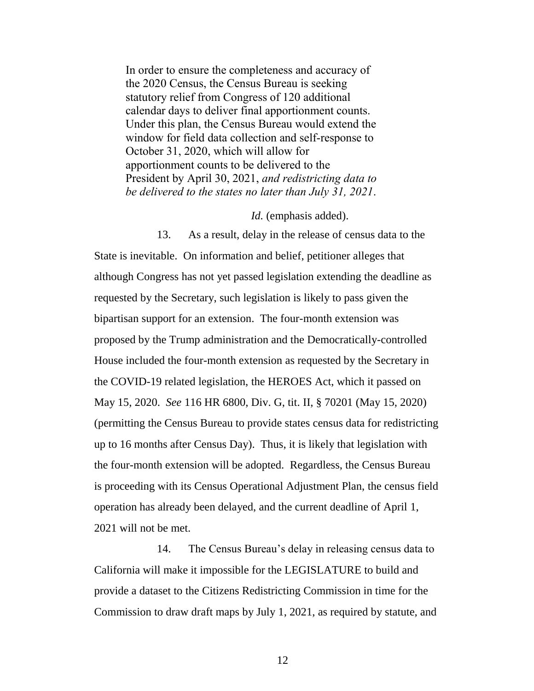In order to ensure the completeness and accuracy of the 2020 Census, the Census Bureau is seeking statutory relief from Congress of 120 additional calendar days to deliver final apportionment counts. Under this plan, the Census Bureau would extend the window for field data collection and self-response to October 31, 2020, which will allow for apportionment counts to be delivered to the President by April 30, 2021, *and redistricting data to be delivered to the states no later than July 31, 2021*.

*Id.* (emphasis added).

13. As a result, delay in the release of census data to the State is inevitable. On information and belief, petitioner alleges that although Congress has not yet passed legislation extending the deadline as requested by the Secretary, such legislation is likely to pass given the bipartisan support for an extension. The four-month extension was proposed by the Trump administration and the Democratically-controlled House included the four-month extension as requested by the Secretary in the COVID-19 related legislation, the HEROES Act, which it passed on May 15, 2020. *See* 116 HR 6800, Div. G, tit. II, § 70201 (May 15, 2020) (permitting the Census Bureau to provide states census data for redistricting up to 16 months after Census Day). Thus, it is likely that legislation with the four-month extension will be adopted. Regardless, the Census Bureau is proceeding with its Census Operational Adjustment Plan, the census field operation has already been delayed, and the current deadline of April 1, 2021 will not be met.

14. The Census Bureau's delay in releasing census data to California will make it impossible for the LEGISLATURE to build and provide a dataset to the Citizens Redistricting Commission in time for the Commission to draw draft maps by July 1, 2021, as required by statute, and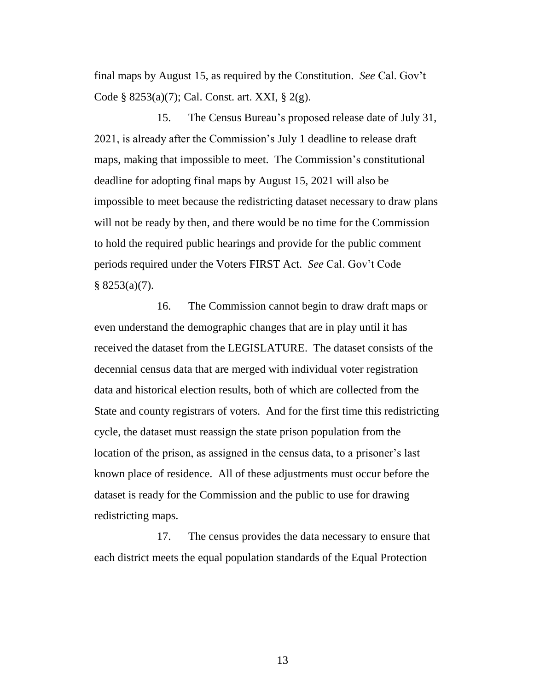final maps by August 15, as required by the Constitution. *See* Cal. Gov't Code § 8253(a)(7); Cal. Const. art. XXI, § 2(g).

15. The Census Bureau's proposed release date of July 31, 2021, is already after the Commission's July 1 deadline to release draft maps, making that impossible to meet. The Commission's constitutional deadline for adopting final maps by August 15, 2021 will also be impossible to meet because the redistricting dataset necessary to draw plans will not be ready by then, and there would be no time for the Commission to hold the required public hearings and provide for the public comment periods required under the Voters FIRST Act. *See* Cal. Gov't Code  $§ 8253(a)(7).$ 

16. The Commission cannot begin to draw draft maps or even understand the demographic changes that are in play until it has received the dataset from the LEGISLATURE. The dataset consists of the decennial census data that are merged with individual voter registration data and historical election results, both of which are collected from the State and county registrars of voters. And for the first time this redistricting cycle, the dataset must reassign the state prison population from the location of the prison, as assigned in the census data, to a prisoner's last known place of residence. All of these adjustments must occur before the dataset is ready for the Commission and the public to use for drawing redistricting maps.

17. The census provides the data necessary to ensure that each district meets the equal population standards of the Equal Protection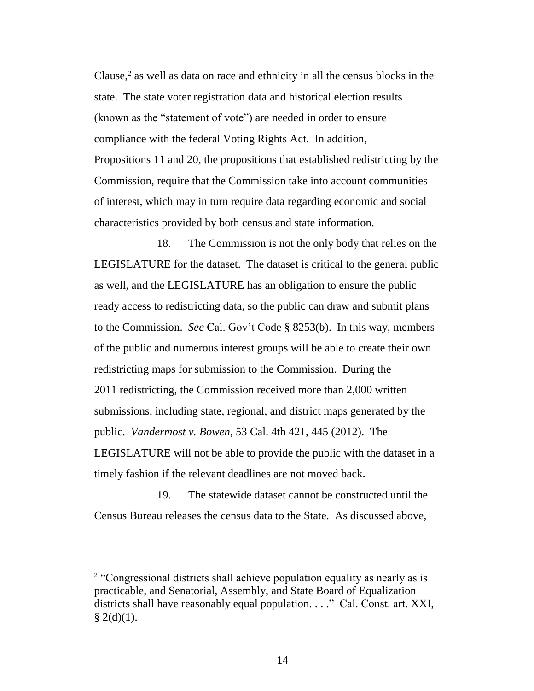Clause, 2 as well as data on race and ethnicity in all the census blocks in the state. The state voter registration data and historical election results (known as the "statement of vote") are needed in order to ensure compliance with the federal Voting Rights Act. In addition, Propositions 11 and 20, the propositions that established redistricting by the Commission, require that the Commission take into account communities of interest, which may in turn require data regarding economic and social characteristics provided by both census and state information.

18. The Commission is not the only body that relies on the LEGISLATURE for the dataset. The dataset is critical to the general public as well, and the LEGISLATURE has an obligation to ensure the public ready access to redistricting data, so the public can draw and submit plans to the Commission. *See* Cal. Gov't Code § 8253(b). In this way, members of the public and numerous interest groups will be able to create their own redistricting maps for submission to the Commission. During the 2011 redistricting, the Commission received more than 2,000 written submissions, including state, regional, and district maps generated by the public. *Vandermost v. Bowen*, 53 Cal. 4th 421, 445 (2012). The LEGISLATURE will not be able to provide the public with the dataset in a timely fashion if the relevant deadlines are not moved back.

19. The statewide dataset cannot be constructed until the Census Bureau releases the census data to the State. As discussed above,

<sup>&</sup>lt;sup>2</sup> "Congressional districts shall achieve population equality as nearly as is practicable, and Senatorial, Assembly, and State Board of Equalization districts shall have reasonably equal population. . . ." Cal. Const. art. XXI,  $§$  2(d)(1).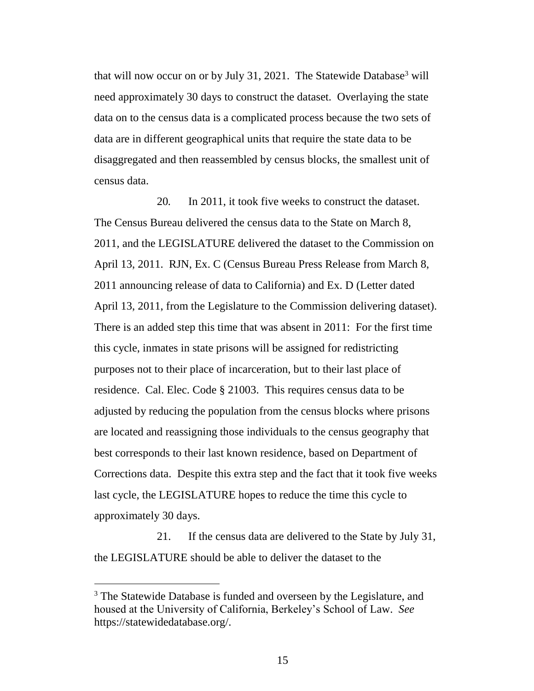that will now occur on or by July 31, 2021. The Statewide Database<sup>3</sup> will need approximately 30 days to construct the dataset. Overlaying the state data on to the census data is a complicated process because the two sets of data are in different geographical units that require the state data to be disaggregated and then reassembled by census blocks, the smallest unit of census data.

20*.* In 2011, it took five weeks to construct the dataset. The Census Bureau delivered the census data to the State on March 8, 2011, and the LEGISLATURE delivered the dataset to the Commission on April 13, 2011. RJN, Ex. C (Census Bureau Press Release from March 8, 2011 announcing release of data to California) and Ex. D (Letter dated April 13, 2011, from the Legislature to the Commission delivering dataset). There is an added step this time that was absent in 2011: For the first time this cycle, inmates in state prisons will be assigned for redistricting purposes not to their place of incarceration, but to their last place of residence. Cal. Elec. Code § 21003. This requires census data to be adjusted by reducing the population from the census blocks where prisons are located and reassigning those individuals to the census geography that best corresponds to their last known residence, based on Department of Corrections data. Despite this extra step and the fact that it took five weeks last cycle, the LEGISLATURE hopes to reduce the time this cycle to approximately 30 days.

21. If the census data are delivered to the State by July 31, the LEGISLATURE should be able to deliver the dataset to the

 $\overline{a}$ 

<sup>&</sup>lt;sup>3</sup> The Statewide Database is funded and overseen by the Legislature, and housed at the University of California, Berkeley's School of Law. *See* https://statewidedatabase.org/.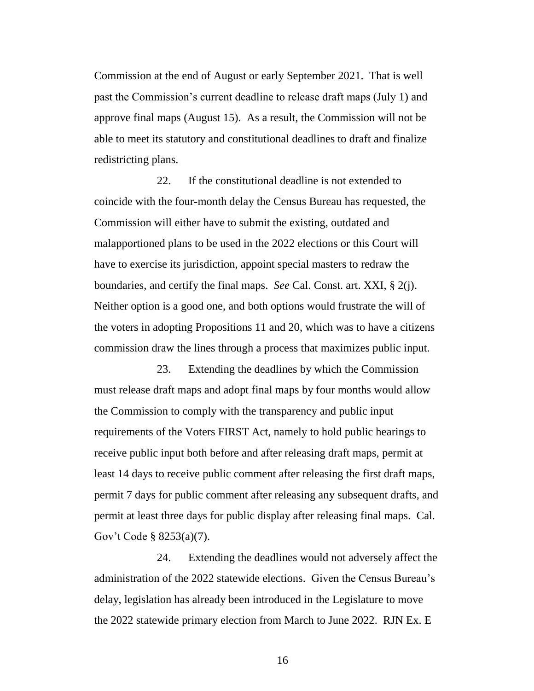Commission at the end of August or early September 2021. That is well past the Commission's current deadline to release draft maps (July 1) and approve final maps (August 15). As a result, the Commission will not be able to meet its statutory and constitutional deadlines to draft and finalize redistricting plans.

22. If the constitutional deadline is not extended to coincide with the four-month delay the Census Bureau has requested, the Commission will either have to submit the existing, outdated and malapportioned plans to be used in the 2022 elections or this Court will have to exercise its jurisdiction, appoint special masters to redraw the boundaries, and certify the final maps. *See* Cal. Const. art. XXI, § 2(j). Neither option is a good one, and both options would frustrate the will of the voters in adopting Propositions 11 and 20, which was to have a citizens commission draw the lines through a process that maximizes public input.

23. Extending the deadlines by which the Commission must release draft maps and adopt final maps by four months would allow the Commission to comply with the transparency and public input requirements of the Voters FIRST Act, namely to hold public hearings to receive public input both before and after releasing draft maps, permit at least 14 days to receive public comment after releasing the first draft maps, permit 7 days for public comment after releasing any subsequent drafts, and permit at least three days for public display after releasing final maps. Cal. Gov't Code § 8253(a)(7).

24. Extending the deadlines would not adversely affect the administration of the 2022 statewide elections. Given the Census Bureau's delay, legislation has already been introduced in the Legislature to move the 2022 statewide primary election from March to June 2022. RJN Ex. E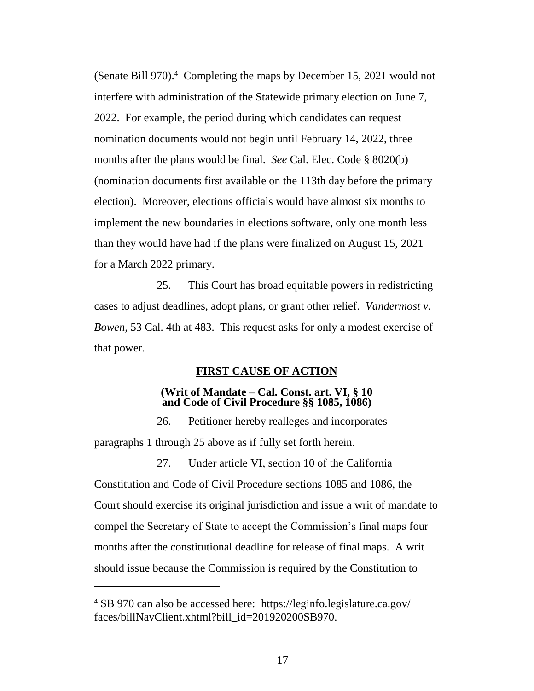(Senate Bill 970). 4 Completing the maps by December 15, 2021 would not interfere with administration of the Statewide primary election on June 7, 2022. For example, the period during which candidates can request nomination documents would not begin until February 14, 2022, three months after the plans would be final. *See* Cal. Elec. Code § 8020(b) (nomination documents first available on the 113th day before the primary election). Moreover, elections officials would have almost six months to implement the new boundaries in elections software, only one month less than they would have had if the plans were finalized on August 15, 2021 for a March 2022 primary.

25. This Court has broad equitable powers in redistricting cases to adjust deadlines, adopt plans, or grant other relief. *Vandermost v. Bowen*, 53 Cal. 4th at 483. This request asks for only a modest exercise of that power.

### **FIRST CAUSE OF ACTION**

### **(Writ of Mandate – Cal. Const. art. VI, § 10 and Code of Civil Procedure §§ 1085, 1086)**

26. Petitioner hereby realleges and incorporates paragraphs 1 through 25 above as if fully set forth herein.

27. Under article VI, section 10 of the California

Constitution and Code of Civil Procedure sections 1085 and 1086, the Court should exercise its original jurisdiction and issue a writ of mandate to compel the Secretary of State to accept the Commission's final maps four months after the constitutional deadline for release of final maps. A writ should issue because the Commission is required by the Constitution to

 $\overline{a}$ 

<sup>4</sup> SB 970 can also be accessed here: https://leginfo.legislature.ca.gov/ faces/billNavClient.xhtml?bill\_id=201920200SB970.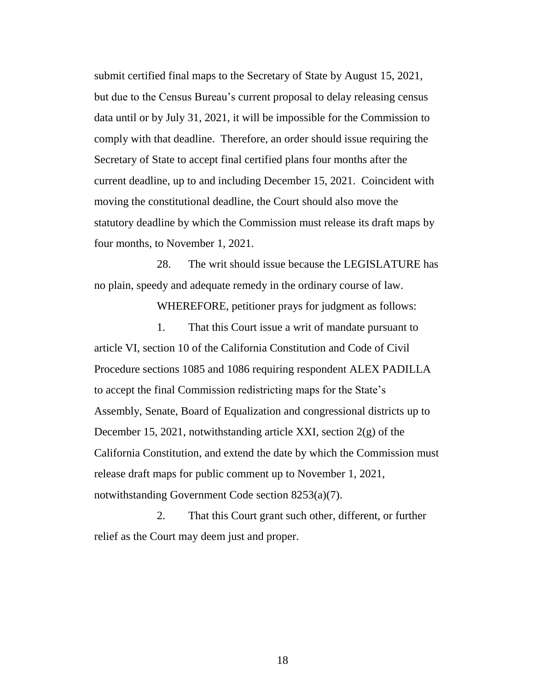submit certified final maps to the Secretary of State by August 15, 2021, but due to the Census Bureau's current proposal to delay releasing census data until or by July 31, 2021, it will be impossible for the Commission to comply with that deadline. Therefore, an order should issue requiring the Secretary of State to accept final certified plans four months after the current deadline, up to and including December 15, 2021. Coincident with moving the constitutional deadline, the Court should also move the statutory deadline by which the Commission must release its draft maps by four months, to November 1, 2021.

28. The writ should issue because the LEGISLATURE has no plain, speedy and adequate remedy in the ordinary course of law.

WHEREFORE, petitioner prays for judgment as follows:

1. That this Court issue a writ of mandate pursuant to article VI, section 10 of the California Constitution and Code of Civil Procedure sections 1085 and 1086 requiring respondent ALEX PADILLA to accept the final Commission redistricting maps for the State's Assembly, Senate, Board of Equalization and congressional districts up to December 15, 2021, notwithstanding article XXI, section 2(g) of the California Constitution, and extend the date by which the Commission must release draft maps for public comment up to November 1, 2021, notwithstanding Government Code section 8253(a)(7).

2. That this Court grant such other, different, or further relief as the Court may deem just and proper.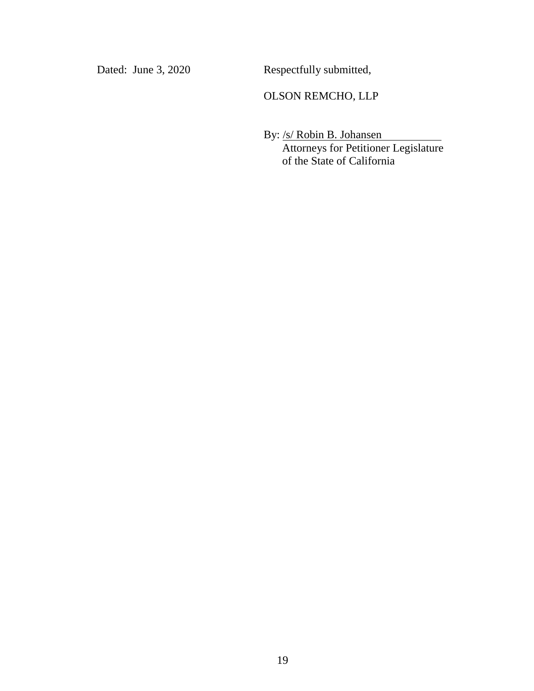Dated: June 3, 2020 Respectfully submitted,

### OLSON REMCHO, LLP

By: /s/ Robin B. Johansen Attorneys for Petitioner Legislature of the State of California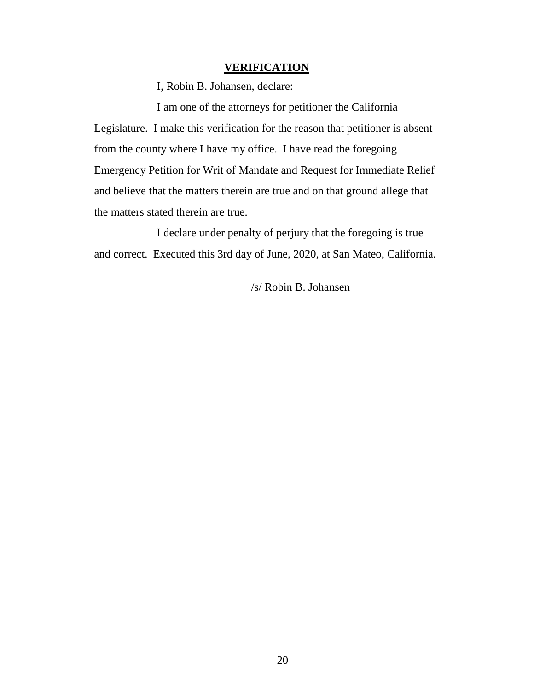#### **VERIFICATION**

I, Robin B. Johansen, declare:

I am one of the attorneys for petitioner the California Legislature. I make this verification for the reason that petitioner is absent from the county where I have my office. I have read the foregoing Emergency Petition for Writ of Mandate and Request for Immediate Relief and believe that the matters therein are true and on that ground allege that the matters stated therein are true.

I declare under penalty of perjury that the foregoing is true and correct. Executed this 3rd day of June, 2020, at San Mateo, California.

/s/ Robin B. Johansen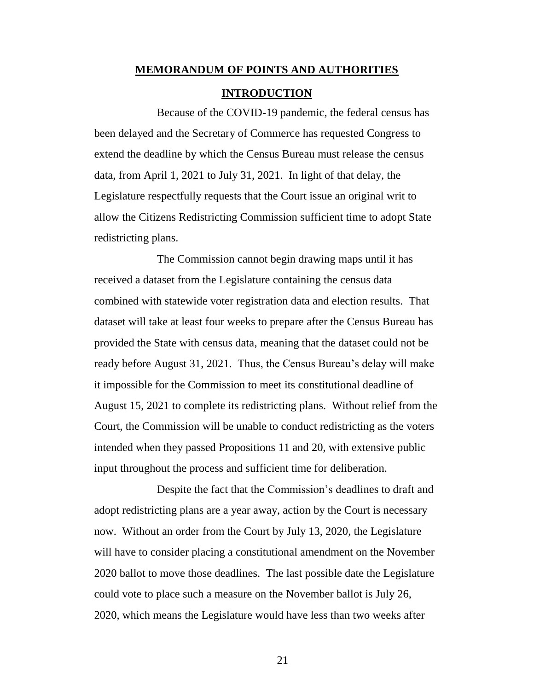# **MEMORANDUM OF POINTS AND AUTHORITIES INTRODUCTION**

Because of the COVID-19 pandemic, the federal census has been delayed and the Secretary of Commerce has requested Congress to extend the deadline by which the Census Bureau must release the census data, from April 1, 2021 to July 31, 2021. In light of that delay, the Legislature respectfully requests that the Court issue an original writ to allow the Citizens Redistricting Commission sufficient time to adopt State redistricting plans.

The Commission cannot begin drawing maps until it has received a dataset from the Legislature containing the census data combined with statewide voter registration data and election results. That dataset will take at least four weeks to prepare after the Census Bureau has provided the State with census data, meaning that the dataset could not be ready before August 31, 2021. Thus, the Census Bureau's delay will make it impossible for the Commission to meet its constitutional deadline of August 15, 2021 to complete its redistricting plans. Without relief from the Court, the Commission will be unable to conduct redistricting as the voters intended when they passed Propositions 11 and 20, with extensive public input throughout the process and sufficient time for deliberation.

Despite the fact that the Commission's deadlines to draft and adopt redistricting plans are a year away, action by the Court is necessary now. Without an order from the Court by July 13, 2020, the Legislature will have to consider placing a constitutional amendment on the November 2020 ballot to move those deadlines. The last possible date the Legislature could vote to place such a measure on the November ballot is July 26, 2020, which means the Legislature would have less than two weeks after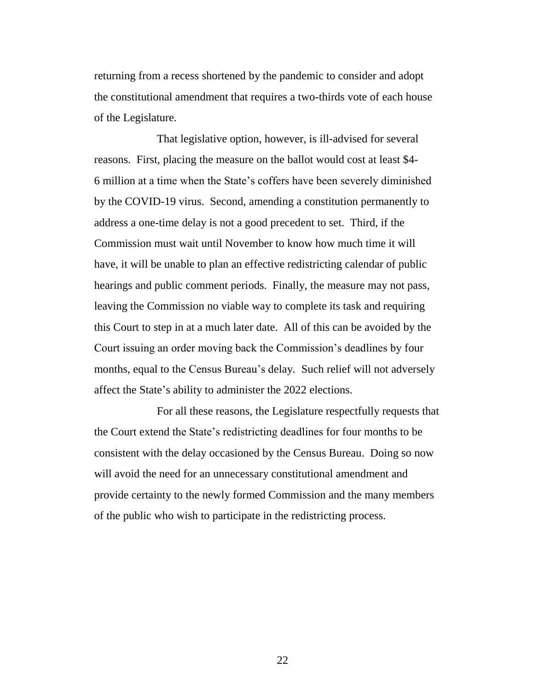returning from a recess shortened by the pandemic to consider and adopt the constitutional amendment that requires a two-thirds vote of each house of the Legislature.

That legislative option, however, is ill-advised for several reasons. First, placing the measure on the ballot would cost at least \$4- 6 million at a time when the State's coffers have been severely diminished by the COVID-19 virus. Second, amending a constitution permanently to address a one-time delay is not a good precedent to set. Third, if the Commission must wait until November to know how much time it will have, it will be unable to plan an effective redistricting calendar of public hearings and public comment periods. Finally, the measure may not pass, leaving the Commission no viable way to complete its task and requiring this Court to step in at a much later date. All of this can be avoided by the Court issuing an order moving back the Commission's deadlines by four months, equal to the Census Bureau's delay. Such relief will not adversely affect the State's ability to administer the 2022 elections.

For all these reasons, the Legislature respectfully requests that the Court extend the State's redistricting deadlines for four months to be consistent with the delay occasioned by the Census Bureau. Doing so now will avoid the need for an unnecessary constitutional amendment and provide certainty to the newly formed Commission and the many members of the public who wish to participate in the redistricting process.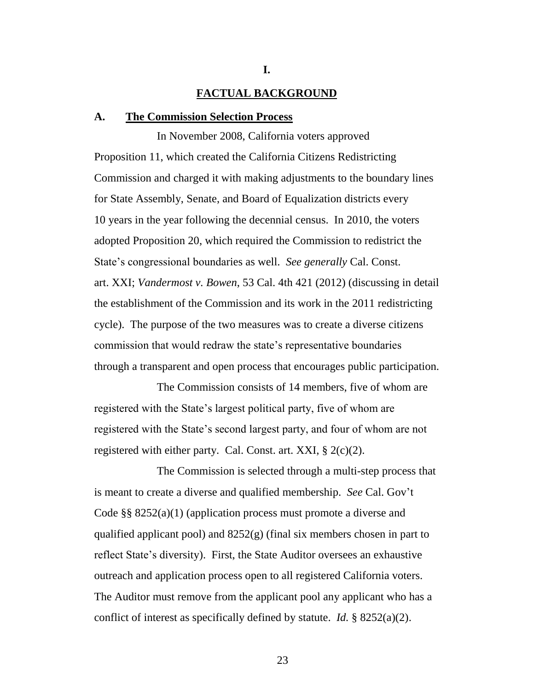### **FACTUAL BACKGROUND**

**I.**

#### **A. The Commission Selection Process**

In November 2008, California voters approved Proposition 11, which created the California Citizens Redistricting Commission and charged it with making adjustments to the boundary lines for State Assembly, Senate, and Board of Equalization districts every 10 years in the year following the decennial census. In 2010, the voters adopted Proposition 20, which required the Commission to redistrict the State's congressional boundaries as well. *See generally* Cal. Const. art. XXI; *Vandermost v. Bowen*, 53 Cal. 4th 421 (2012) (discussing in detail the establishment of the Commission and its work in the 2011 redistricting cycle). The purpose of the two measures was to create a diverse citizens commission that would redraw the state's representative boundaries through a transparent and open process that encourages public participation.

The Commission consists of 14 members, five of whom are registered with the State's largest political party, five of whom are registered with the State's second largest party, and four of whom are not registered with either party. Cal. Const. art. XXI,  $\S 2(c)(2)$ .

The Commission is selected through a multi-step process that is meant to create a diverse and qualified membership. *See* Cal. Gov't Code §§ 8252(a)(1) (application process must promote a diverse and qualified applicant pool) and 8252(g) (final six members chosen in part to reflect State's diversity). First, the State Auditor oversees an exhaustive outreach and application process open to all registered California voters. The Auditor must remove from the applicant pool any applicant who has a conflict of interest as specifically defined by statute. *Id.* § 8252(a)(2).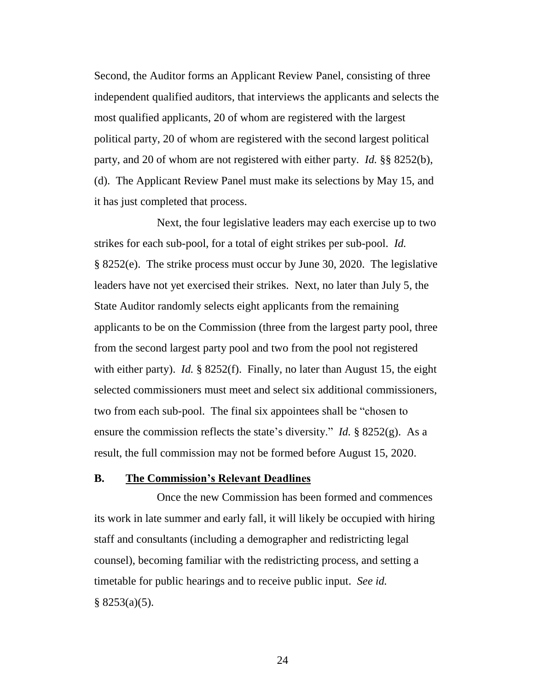Second, the Auditor forms an Applicant Review Panel, consisting of three independent qualified auditors, that interviews the applicants and selects the most qualified applicants, 20 of whom are registered with the largest political party, 20 of whom are registered with the second largest political party, and 20 of whom are not registered with either party. *Id.* §§ 8252(b), (d). The Applicant Review Panel must make its selections by May 15, and it has just completed that process.

Next, the four legislative leaders may each exercise up to two strikes for each sub-pool, for a total of eight strikes per sub-pool. *Id.* § 8252(e). The strike process must occur by June 30, 2020. The legislative leaders have not yet exercised their strikes. Next, no later than July 5, the State Auditor randomly selects eight applicants from the remaining applicants to be on the Commission (three from the largest party pool, three from the second largest party pool and two from the pool not registered with either party). *Id.* § 8252(f). Finally, no later than August 15, the eight selected commissioners must meet and select six additional commissioners, two from each sub-pool. The final six appointees shall be "chosen to ensure the commission reflects the state's diversity." *Id.* § 8252(g). As a result, the full commission may not be formed before August 15, 2020.

### **B. The Commission's Relevant Deadlines**

Once the new Commission has been formed and commences its work in late summer and early fall, it will likely be occupied with hiring staff and consultants (including a demographer and redistricting legal counsel), becoming familiar with the redistricting process, and setting a timetable for public hearings and to receive public input. *See id.*  $§ 8253(a)(5).$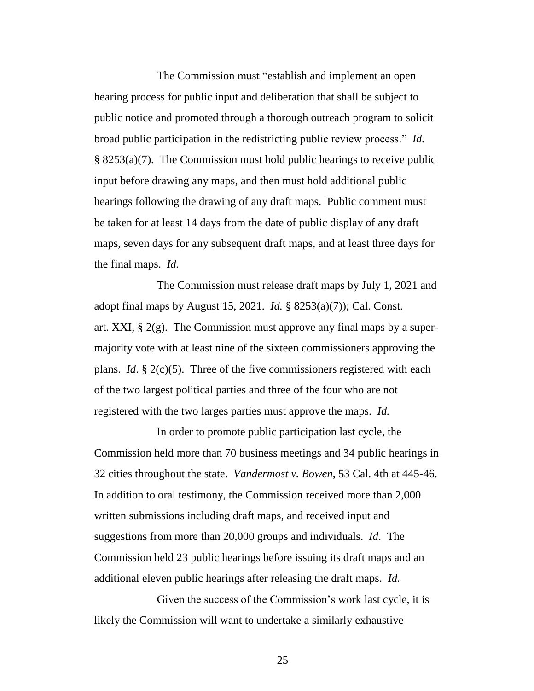The Commission must "establish and implement an open hearing process for public input and deliberation that shall be subject to public notice and promoted through a thorough outreach program to solicit broad public participation in the redistricting public review process." *Id.* § 8253(a)(7). The Commission must hold public hearings to receive public input before drawing any maps, and then must hold additional public hearings following the drawing of any draft maps. Public comment must be taken for at least 14 days from the date of public display of any draft maps, seven days for any subsequent draft maps, and at least three days for the final maps. *Id.* 

The Commission must release draft maps by July 1, 2021 and adopt final maps by August 15, 2021. *Id.* § 8253(a)(7)); Cal. Const. art. XXI, § 2(g). The Commission must approve any final maps by a supermajority vote with at least nine of the sixteen commissioners approving the plans. *Id*. § 2(c)(5). Three of the five commissioners registered with each of the two largest political parties and three of the four who are not registered with the two larges parties must approve the maps. *Id.* 

In order to promote public participation last cycle, the Commission held more than 70 business meetings and 34 public hearings in 32 cities throughout the state. *Vandermost v. Bowen*, 53 Cal. 4th at 445-46. In addition to oral testimony, the Commission received more than 2,000 written submissions including draft maps, and received input and suggestions from more than 20,000 groups and individuals. *Id*. The Commission held 23 public hearings before issuing its draft maps and an additional eleven public hearings after releasing the draft maps. *Id.*

Given the success of the Commission's work last cycle, it is likely the Commission will want to undertake a similarly exhaustive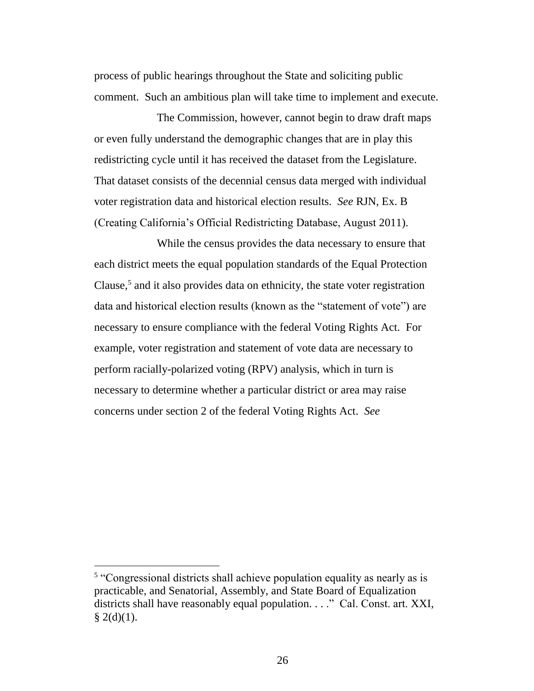process of public hearings throughout the State and soliciting public comment. Such an ambitious plan will take time to implement and execute.

The Commission, however, cannot begin to draw draft maps or even fully understand the demographic changes that are in play this redistricting cycle until it has received the dataset from the Legislature. That dataset consists of the decennial census data merged with individual voter registration data and historical election results. *See* RJN, Ex. B (Creating California's Official Redistricting Database, August 2011).

While the census provides the data necessary to ensure that each district meets the equal population standards of the Equal Protection Clause,<sup>5</sup> and it also provides data on ethnicity, the state voter registration data and historical election results (known as the "statement of vote") are necessary to ensure compliance with the federal Voting Rights Act. For example, voter registration and statement of vote data are necessary to perform racially-polarized voting (RPV) analysis, which in turn is necessary to determine whether a particular district or area may raise concerns under section 2 of the federal Voting Rights Act. *See* 

<sup>&</sup>lt;sup>5</sup> "Congressional districts shall achieve population equality as nearly as is practicable, and Senatorial, Assembly, and State Board of Equalization districts shall have reasonably equal population. . . ." Cal. Const. art. XXI,  $§$  2(d)(1).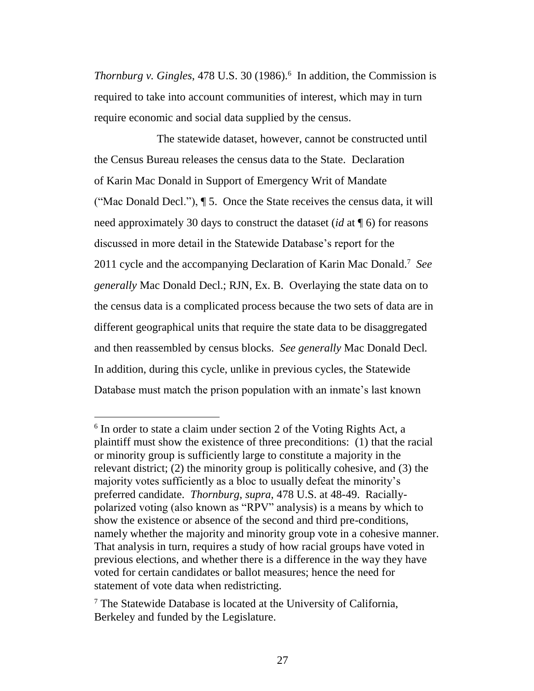*Thornburg v. Gingles*, 478 U.S. 30 (1986). 6 In addition, the Commission is required to take into account communities of interest, which may in turn require economic and social data supplied by the census.

The statewide dataset, however, cannot be constructed until the Census Bureau releases the census data to the State. Declaration of Karin Mac Donald in Support of Emergency Writ of Mandate ("Mac Donald Decl."), ¶ 5. Once the State receives the census data, it will need approximately 30 days to construct the dataset (*id* at ¶ 6) for reasons discussed in more detail in the Statewide Database's report for the 2011 cycle and the accompanying Declaration of Karin Mac Donald. 7 *See generally* Mac Donald Decl.; RJN, Ex. B. Overlaying the state data on to the census data is a complicated process because the two sets of data are in different geographical units that require the state data to be disaggregated and then reassembled by census blocks. *See generally* Mac Donald Decl*.*  In addition, during this cycle, unlike in previous cycles, the Statewide Database must match the prison population with an inmate's last known

 $\overline{a}$ 

<sup>&</sup>lt;sup>6</sup> In order to state a claim under section 2 of the Voting Rights Act, a plaintiff must show the existence of three preconditions: (1) that the racial or minority group is sufficiently large to constitute a majority in the relevant district; (2) the minority group is politically cohesive, and (3) the majority votes sufficiently as a bloc to usually defeat the minority's preferred candidate. *Thornburg*, *supra*, 478 U.S. at 48-49. Raciallypolarized voting (also known as "RPV" analysis) is a means by which to show the existence or absence of the second and third pre-conditions, namely whether the majority and minority group vote in a cohesive manner. That analysis in turn, requires a study of how racial groups have voted in previous elections, and whether there is a difference in the way they have voted for certain candidates or ballot measures; hence the need for statement of vote data when redistricting.

 $<sup>7</sup>$  The Statewide Database is located at the University of California,</sup> Berkeley and funded by the Legislature.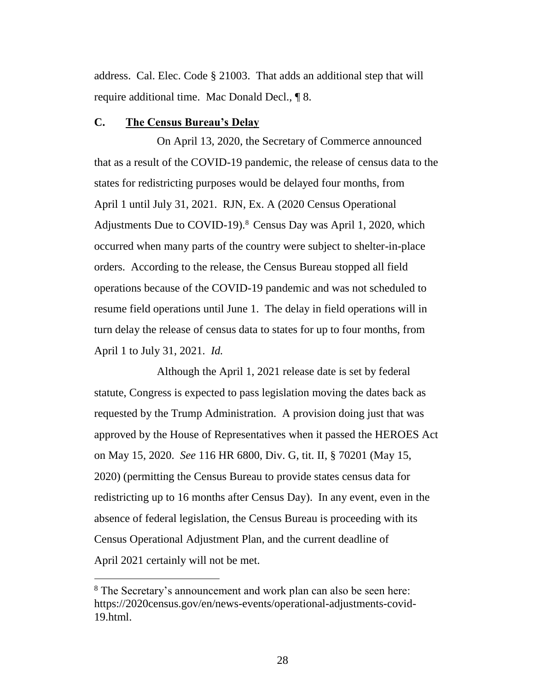address. Cal. Elec. Code § 21003. That adds an additional step that will require additional time. Mac Donald Decl., ¶ 8.

### **C. The Census Bureau's Delay**

On April 13, 2020, the Secretary of Commerce announced that as a result of the COVID-19 pandemic, the release of census data to the states for redistricting purposes would be delayed four months, from April 1 until July 31, 2021. RJN, Ex. A (2020 Census Operational Adjustments Due to COVID-19).<sup>8</sup> Census Day was April 1, 2020, which occurred when many parts of the country were subject to shelter-in-place orders. According to the release, the Census Bureau stopped all field operations because of the COVID-19 pandemic and was not scheduled to resume field operations until June 1. The delay in field operations will in turn delay the release of census data to states for up to four months, from April 1 to July 31, 2021. *Id.* 

Although the April 1, 2021 release date is set by federal statute, Congress is expected to pass legislation moving the dates back as requested by the Trump Administration. A provision doing just that was approved by the House of Representatives when it passed the HEROES Act on May 15, 2020. *See* 116 HR 6800, Div. G, tit. II, § 70201 (May 15, 2020) (permitting the Census Bureau to provide states census data for redistricting up to 16 months after Census Day). In any event, even in the absence of federal legislation, the Census Bureau is proceeding with its Census Operational Adjustment Plan, and the current deadline of April 2021 certainly will not be met.

 $\overline{a}$ 

<sup>8</sup> The Secretary's announcement and work plan can also be seen here: https://2020census.gov/en/news-events/operational-adjustments-covid-19.html.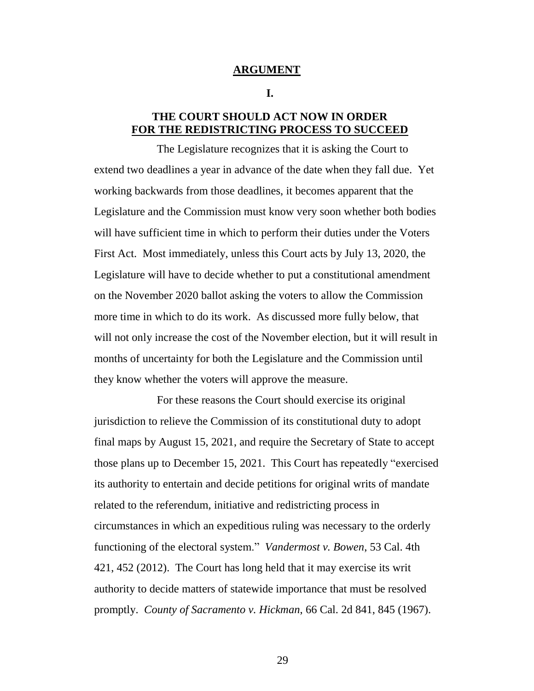#### **ARGUMENT**

#### **I.**

### **THE COURT SHOULD ACT NOW IN ORDER FOR THE REDISTRICTING PROCESS TO SUCCEED**

The Legislature recognizes that it is asking the Court to extend two deadlines a year in advance of the date when they fall due. Yet working backwards from those deadlines, it becomes apparent that the Legislature and the Commission must know very soon whether both bodies will have sufficient time in which to perform their duties under the Voters First Act. Most immediately, unless this Court acts by July 13, 2020, the Legislature will have to decide whether to put a constitutional amendment on the November 2020 ballot asking the voters to allow the Commission more time in which to do its work. As discussed more fully below, that will not only increase the cost of the November election, but it will result in months of uncertainty for both the Legislature and the Commission until they know whether the voters will approve the measure.

For these reasons the Court should exercise its original jurisdiction to relieve the Commission of its constitutional duty to adopt final maps by August 15, 2021, and require the Secretary of State to accept those plans up to December 15, 2021. This Court has repeatedly "exercised its authority to entertain and decide petitions for original writs of mandate related to the referendum, initiative and redistricting process in circumstances in which an expeditious ruling was necessary to the orderly functioning of the electoral system." *Vandermost v. Bowen*, 53 Cal. 4th 421, 452 (2012). The Court has long held that it may exercise its writ authority to decide matters of statewide importance that must be resolved promptly. *County of Sacramento v. Hickman*, 66 Cal. 2d 841, 845 (1967).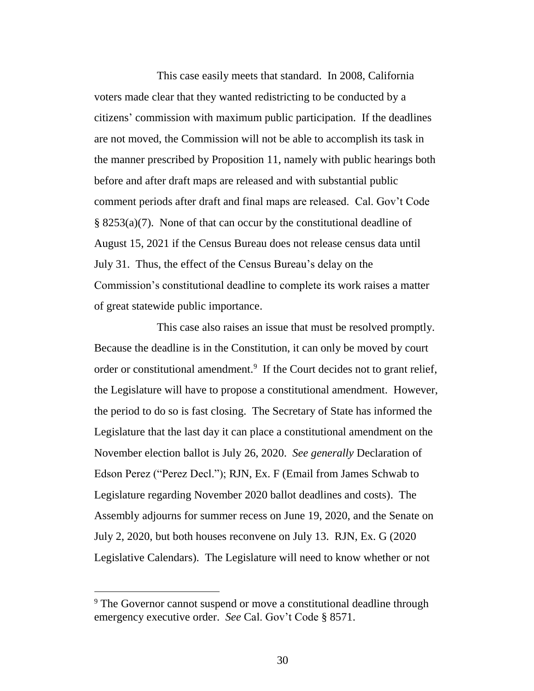This case easily meets that standard. In 2008, California voters made clear that they wanted redistricting to be conducted by a citizens' commission with maximum public participation. If the deadlines are not moved, the Commission will not be able to accomplish its task in the manner prescribed by Proposition 11, namely with public hearings both before and after draft maps are released and with substantial public comment periods after draft and final maps are released. Cal. Gov't Code § 8253(a)(7). None of that can occur by the constitutional deadline of August 15, 2021 if the Census Bureau does not release census data until July 31. Thus, the effect of the Census Bureau's delay on the Commission's constitutional deadline to complete its work raises a matter of great statewide public importance.

This case also raises an issue that must be resolved promptly. Because the deadline is in the Constitution, it can only be moved by court order or constitutional amendment.<sup>9</sup> If the Court decides not to grant relief, the Legislature will have to propose a constitutional amendment. However, the period to do so is fast closing. The Secretary of State has informed the Legislature that the last day it can place a constitutional amendment on the November election ballot is July 26, 2020. *See generally* Declaration of Edson Perez ("Perez Decl."); RJN, Ex. F (Email from James Schwab to Legislature regarding November 2020 ballot deadlines and costs). The Assembly adjourns for summer recess on June 19, 2020, and the Senate on July 2, 2020, but both houses reconvene on July 13. RJN, Ex. G (2020 Legislative Calendars). The Legislature will need to know whether or not

<sup>&</sup>lt;sup>9</sup> The Governor cannot suspend or move a constitutional deadline through emergency executive order. *See* Cal. Gov't Code § 8571.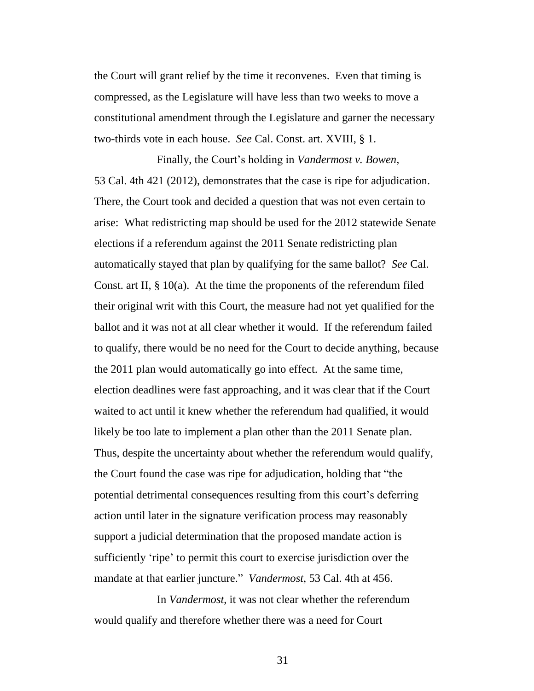the Court will grant relief by the time it reconvenes. Even that timing is compressed, as the Legislature will have less than two weeks to move a constitutional amendment through the Legislature and garner the necessary two-thirds vote in each house. *See* Cal. Const. art. XVIII, § 1.

Finally, the Court's holding in *Vandermost v. Bowen*, 53 Cal. 4th 421 (2012), demonstrates that the case is ripe for adjudication. There, the Court took and decided a question that was not even certain to arise: What redistricting map should be used for the 2012 statewide Senate elections if a referendum against the 2011 Senate redistricting plan automatically stayed that plan by qualifying for the same ballot? *See* Cal. Const. art II,  $\S$  10(a). At the time the proponents of the referendum filed their original writ with this Court, the measure had not yet qualified for the ballot and it was not at all clear whether it would. If the referendum failed to qualify, there would be no need for the Court to decide anything, because the 2011 plan would automatically go into effect. At the same time, election deadlines were fast approaching, and it was clear that if the Court waited to act until it knew whether the referendum had qualified, it would likely be too late to implement a plan other than the 2011 Senate plan. Thus, despite the uncertainty about whether the referendum would qualify, the Court found the case was ripe for adjudication, holding that "the potential detrimental consequences resulting from this court's deferring action until later in the signature verification process may reasonably support a judicial determination that the proposed mandate action is sufficiently 'ripe' to permit this court to exercise jurisdiction over the mandate at that earlier juncture." *Vandermost*, 53 Cal. 4th at 456.

In *Vandermost*, it was not clear whether the referendum would qualify and therefore whether there was a need for Court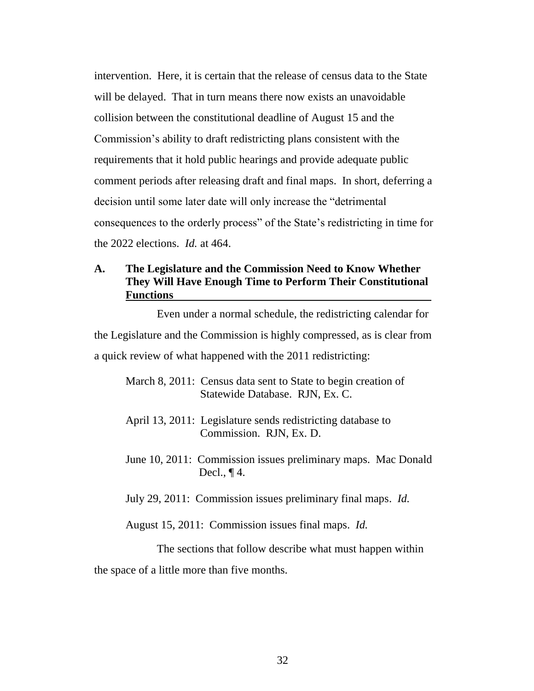intervention. Here, it is certain that the release of census data to the State will be delayed. That in turn means there now exists an unavoidable collision between the constitutional deadline of August 15 and the Commission's ability to draft redistricting plans consistent with the requirements that it hold public hearings and provide adequate public comment periods after releasing draft and final maps. In short, deferring a decision until some later date will only increase the "detrimental consequences to the orderly process" of the State's redistricting in time for the 2022 elections. *Id.* at 464.

### **A. The Legislature and the Commission Need to Know Whether They Will Have Enough Time to Perform Their Constitutional Functions**

Even under a normal schedule, the redistricting calendar for the Legislature and the Commission is highly compressed, as is clear from a quick review of what happened with the 2011 redistricting:

July 29, 2011: Commission issues preliminary final maps. *Id.*

August 15, 2011: Commission issues final maps. *Id.* 

The sections that follow describe what must happen within the space of a little more than five months.

March 8, 2011: Census data sent to State to begin creation of Statewide Database. RJN, Ex. C.

April 13, 2011: Legislature sends redistricting database to Commission. RJN, Ex. D.

June 10, 2011: Commission issues preliminary maps. Mac Donald Decl.,  $\P$ 4.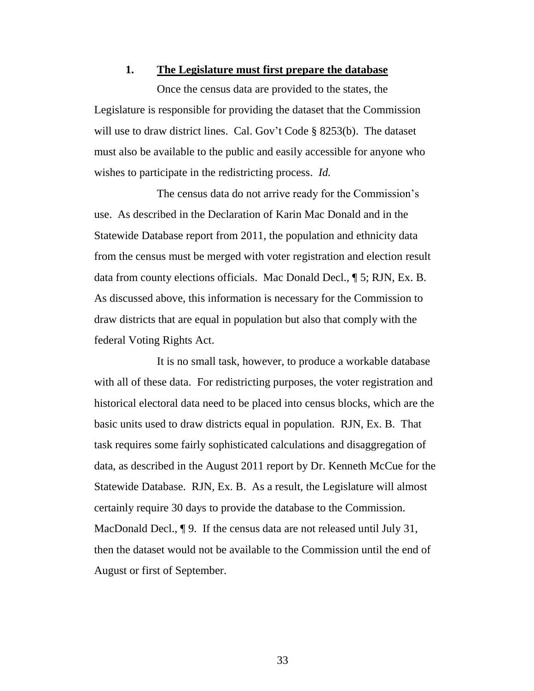#### **1. The Legislature must first prepare the database**

Once the census data are provided to the states, the Legislature is responsible for providing the dataset that the Commission will use to draw district lines. Cal. Gov't Code § 8253(b). The dataset must also be available to the public and easily accessible for anyone who wishes to participate in the redistricting process. *Id.*

The census data do not arrive ready for the Commission's use. As described in the Declaration of Karin Mac Donald and in the Statewide Database report from 2011, the population and ethnicity data from the census must be merged with voter registration and election result data from county elections officials. Mac Donald Decl., ¶ 5; RJN, Ex. B. As discussed above, this information is necessary for the Commission to draw districts that are equal in population but also that comply with the federal Voting Rights Act.

It is no small task, however, to produce a workable database with all of these data. For redistricting purposes, the voter registration and historical electoral data need to be placed into census blocks, which are the basic units used to draw districts equal in population. RJN, Ex. B. That task requires some fairly sophisticated calculations and disaggregation of data, as described in the August 2011 report by Dr. Kenneth McCue for the Statewide Database. RJN, Ex. B. As a result, the Legislature will almost certainly require 30 days to provide the database to the Commission. MacDonald Decl., ¶ 9. If the census data are not released until July 31, then the dataset would not be available to the Commission until the end of August or first of September.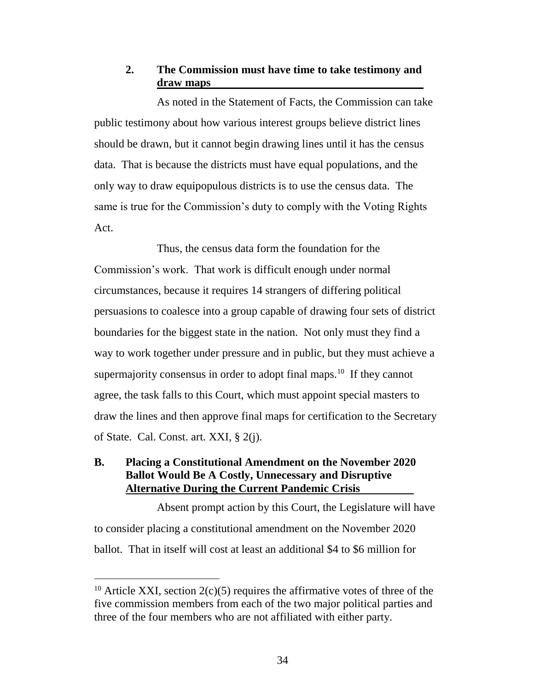### **2. The Commission must have time to take testimony and draw maps**

As noted in the Statement of Facts, the Commission can take public testimony about how various interest groups believe district lines should be drawn, but it cannot begin drawing lines until it has the census data. That is because the districts must have equal populations, and the only way to draw equipopulous districts is to use the census data. The same is true for the Commission's duty to comply with the Voting Rights Act.

Thus, the census data form the foundation for the Commission's work. That work is difficult enough under normal circumstances, because it requires 14 strangers of differing political persuasions to coalesce into a group capable of drawing four sets of district boundaries for the biggest state in the nation. Not only must they find a way to work together under pressure and in public, but they must achieve a supermajority consensus in order to adopt final maps.<sup>10</sup> If they cannot agree, the task falls to this Court, which must appoint special masters to draw the lines and then approve final maps for certification to the Secretary of State. Cal. Const. art. XXI, § 2(j).

### **B. Placing a Constitutional Amendment on the November 2020 Ballot Would Be A Costly, Unnecessary and Disruptive Alternative During the Current Pandemic Crisis**

Absent prompt action by this Court, the Legislature will have to consider placing a constitutional amendment on the November 2020 ballot. That in itself will cost at least an additional \$4 to \$6 million for

 $\overline{a}$ 

<sup>&</sup>lt;sup>10</sup> Article XXI, section  $2(c)(5)$  requires the affirmative votes of three of the five commission members from each of the two major political parties and three of the four members who are not affiliated with either party.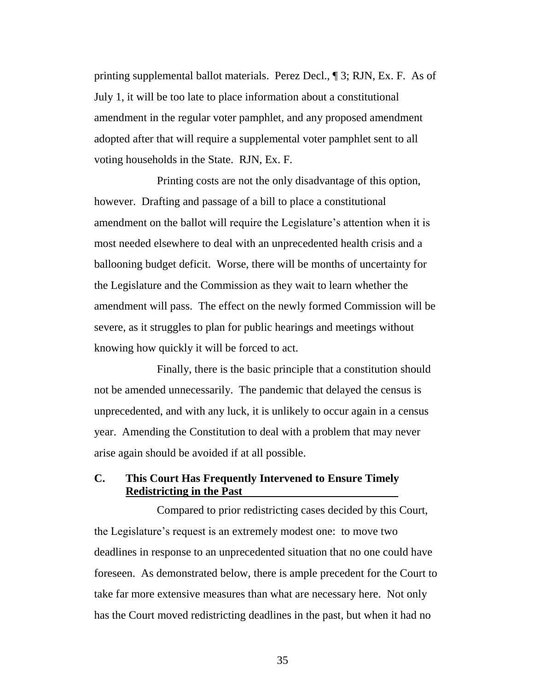printing supplemental ballot materials. Perez Decl., ¶ 3; RJN, Ex. F. As of July 1, it will be too late to place information about a constitutional amendment in the regular voter pamphlet, and any proposed amendment adopted after that will require a supplemental voter pamphlet sent to all voting households in the State. RJN, Ex. F.

Printing costs are not the only disadvantage of this option, however. Drafting and passage of a bill to place a constitutional amendment on the ballot will require the Legislature's attention when it is most needed elsewhere to deal with an unprecedented health crisis and a ballooning budget deficit. Worse, there will be months of uncertainty for the Legislature and the Commission as they wait to learn whether the amendment will pass. The effect on the newly formed Commission will be severe, as it struggles to plan for public hearings and meetings without knowing how quickly it will be forced to act.

Finally, there is the basic principle that a constitution should not be amended unnecessarily. The pandemic that delayed the census is unprecedented, and with any luck, it is unlikely to occur again in a census year. Amending the Constitution to deal with a problem that may never arise again should be avoided if at all possible.

### **C. This Court Has Frequently Intervened to Ensure Timely Redistricting in the Past**

Compared to prior redistricting cases decided by this Court, the Legislature's request is an extremely modest one: to move two deadlines in response to an unprecedented situation that no one could have foreseen. As demonstrated below, there is ample precedent for the Court to take far more extensive measures than what are necessary here. Not only has the Court moved redistricting deadlines in the past, but when it had no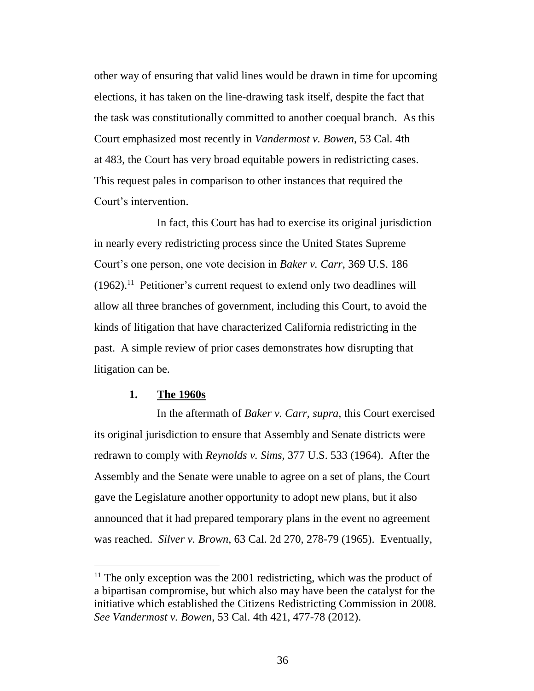other way of ensuring that valid lines would be drawn in time for upcoming elections, it has taken on the line-drawing task itself, despite the fact that the task was constitutionally committed to another coequal branch. As this Court emphasized most recently in *Vandermost v. Bowen*, 53 Cal. 4th at 483, the Court has very broad equitable powers in redistricting cases. This request pales in comparison to other instances that required the Court's intervention.

In fact, this Court has had to exercise its original jurisdiction in nearly every redistricting process since the United States Supreme Court's one person, one vote decision in *Baker v. Carr*, 369 U.S. 186  $(1962).$ <sup>11</sup> Petitioner's current request to extend only two deadlines will allow all three branches of government, including this Court, to avoid the kinds of litigation that have characterized California redistricting in the past. A simple review of prior cases demonstrates how disrupting that litigation can be.

### **1. The 1960s**

In the aftermath of *Baker v. Carr*, *supra*, this Court exercised its original jurisdiction to ensure that Assembly and Senate districts were redrawn to comply with *Reynolds v. Sims*, 377 U.S. 533 (1964). After the Assembly and the Senate were unable to agree on a set of plans, the Court gave the Legislature another opportunity to adopt new plans, but it also announced that it had prepared temporary plans in the event no agreement was reached. *Silver v. Brown*, 63 Cal. 2d 270, 278-79 (1965). Eventually,

 $11$  The only exception was the 2001 redistricting, which was the product of a bipartisan compromise, but which also may have been the catalyst for the initiative which established the Citizens Redistricting Commission in 2008. *See Vandermost v. Bowen*, 53 Cal. 4th 421, 477-78 (2012).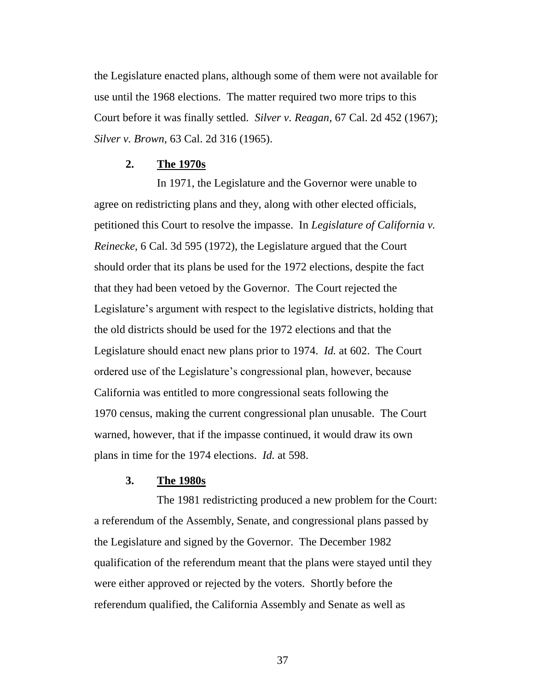the Legislature enacted plans, although some of them were not available for use until the 1968 elections. The matter required two more trips to this Court before it was finally settled. *Silver v. Reagan*, 67 Cal. 2d 452 (1967); *Silver v. Brown*, 63 Cal. 2d 316 (1965).

### **2. The 1970s**

In 1971, the Legislature and the Governor were unable to agree on redistricting plans and they, along with other elected officials, petitioned this Court to resolve the impasse. In *Legislature of California v. Reinecke*, 6 Cal. 3d 595 (1972), the Legislature argued that the Court should order that its plans be used for the 1972 elections, despite the fact that they had been vetoed by the Governor. The Court rejected the Legislature's argument with respect to the legislative districts, holding that the old districts should be used for the 1972 elections and that the Legislature should enact new plans prior to 1974. *Id.* at 602. The Court ordered use of the Legislature's congressional plan, however, because California was entitled to more congressional seats following the 1970 census, making the current congressional plan unusable. The Court warned, however, that if the impasse continued, it would draw its own plans in time for the 1974 elections. *Id.* at 598.

### **3. The 1980s**

The 1981 redistricting produced a new problem for the Court: a referendum of the Assembly, Senate, and congressional plans passed by the Legislature and signed by the Governor. The December 1982 qualification of the referendum meant that the plans were stayed until they were either approved or rejected by the voters. Shortly before the referendum qualified, the California Assembly and Senate as well as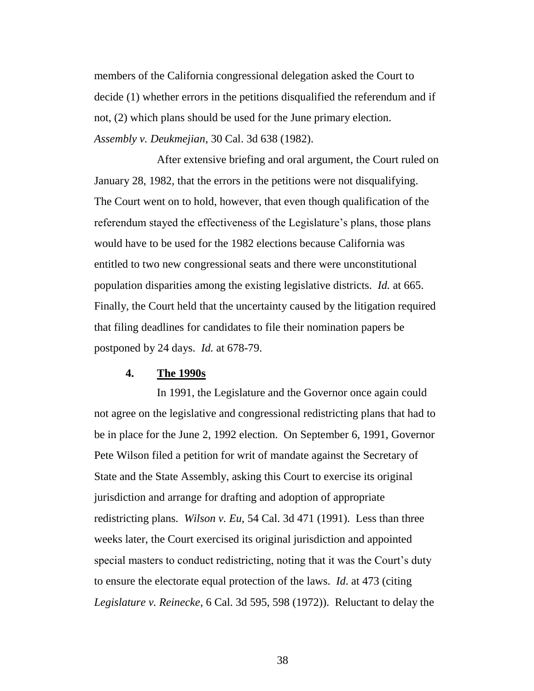members of the California congressional delegation asked the Court to decide (1) whether errors in the petitions disqualified the referendum and if not, (2) which plans should be used for the June primary election. *Assembly v. Deukmejian*, 30 Cal. 3d 638 (1982).

After extensive briefing and oral argument, the Court ruled on January 28, 1982, that the errors in the petitions were not disqualifying. The Court went on to hold, however, that even though qualification of the referendum stayed the effectiveness of the Legislature's plans, those plans would have to be used for the 1982 elections because California was entitled to two new congressional seats and there were unconstitutional population disparities among the existing legislative districts. *Id.* at 665. Finally, the Court held that the uncertainty caused by the litigation required that filing deadlines for candidates to file their nomination papers be postponed by 24 days. *Id.* at 678-79.

#### **4. The 1990s**

In 1991, the Legislature and the Governor once again could not agree on the legislative and congressional redistricting plans that had to be in place for the June 2, 1992 election. On September 6, 1991, Governor Pete Wilson filed a petition for writ of mandate against the Secretary of State and the State Assembly, asking this Court to exercise its original jurisdiction and arrange for drafting and adoption of appropriate redistricting plans. *Wilson v. Eu*, 54 Cal. 3d 471 (1991). Less than three weeks later, the Court exercised its original jurisdiction and appointed special masters to conduct redistricting, noting that it was the Court's duty to ensure the electorate equal protection of the laws. *Id*. at 473 (citing *Legislature v. Reinecke*, 6 Cal. 3d 595, 598 (1972)). Reluctant to delay the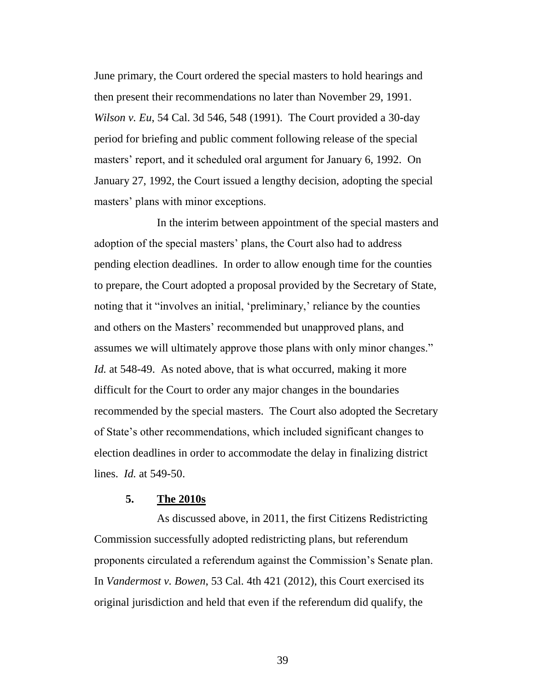June primary, the Court ordered the special masters to hold hearings and then present their recommendations no later than November 29, 1991. *Wilson v. Eu*, 54 Cal. 3d 546, 548 (1991). The Court provided a 30-day period for briefing and public comment following release of the special masters' report, and it scheduled oral argument for January 6, 1992. On January 27, 1992, the Court issued a lengthy decision, adopting the special masters' plans with minor exceptions.

In the interim between appointment of the special masters and adoption of the special masters' plans, the Court also had to address pending election deadlines. In order to allow enough time for the counties to prepare, the Court adopted a proposal provided by the Secretary of State, noting that it "involves an initial, 'preliminary,' reliance by the counties and others on the Masters' recommended but unapproved plans, and assumes we will ultimately approve those plans with only minor changes." *Id.* at 548-49. As noted above, that is what occurred, making it more difficult for the Court to order any major changes in the boundaries recommended by the special masters. The Court also adopted the Secretary of State's other recommendations, which included significant changes to election deadlines in order to accommodate the delay in finalizing district lines. *Id.* at 549-50.

### **5. The 2010s**

As discussed above, in 2011, the first Citizens Redistricting Commission successfully adopted redistricting plans, but referendum proponents circulated a referendum against the Commission's Senate plan. In *Vandermost v. Bowen*, 53 Cal. 4th 421 (2012), this Court exercised its original jurisdiction and held that even if the referendum did qualify, the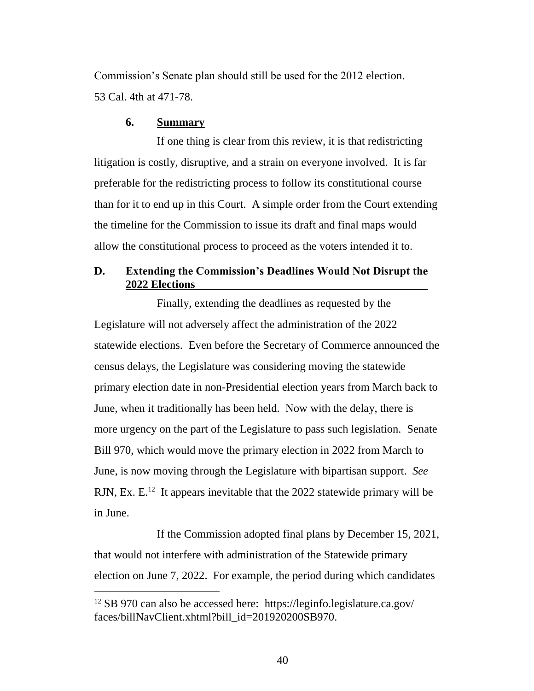Commission's Senate plan should still be used for the 2012 election. 53 Cal. 4th at 471-78.

### **6. Summary**

If one thing is clear from this review, it is that redistricting litigation is costly, disruptive, and a strain on everyone involved. It is far preferable for the redistricting process to follow its constitutional course than for it to end up in this Court. A simple order from the Court extending the timeline for the Commission to issue its draft and final maps would allow the constitutional process to proceed as the voters intended it to.

### **D. Extending the Commission's Deadlines Would Not Disrupt the 2022 Elections**

Finally, extending the deadlines as requested by the Legislature will not adversely affect the administration of the 2022 statewide elections. Even before the Secretary of Commerce announced the census delays, the Legislature was considering moving the statewide primary election date in non-Presidential election years from March back to June, when it traditionally has been held. Now with the delay, there is more urgency on the part of the Legislature to pass such legislation. Senate Bill 970, which would move the primary election in 2022 from March to June, is now moving through the Legislature with bipartisan support. *See*  RJN, Ex. E.<sup>12</sup> It appears inevitable that the 2022 statewide primary will be in June.

If the Commission adopted final plans by December 15, 2021, that would not interfere with administration of the Statewide primary election on June 7, 2022. For example, the period during which candidates

<sup>12</sup> SB 970 can also be accessed here: https://leginfo.legislature.ca.gov/ faces/billNavClient.xhtml?bill\_id=201920200SB970.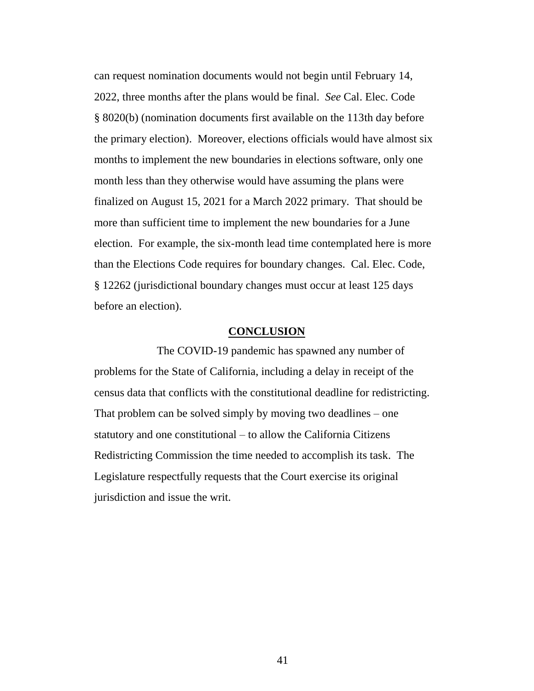can request nomination documents would not begin until February 14, 2022, three months after the plans would be final. *See* Cal. Elec. Code § 8020(b) (nomination documents first available on the 113th day before the primary election). Moreover, elections officials would have almost six months to implement the new boundaries in elections software, only one month less than they otherwise would have assuming the plans were finalized on August 15, 2021 for a March 2022 primary. That should be more than sufficient time to implement the new boundaries for a June election. For example, the six-month lead time contemplated here is more than the Elections Code requires for boundary changes. Cal. Elec. Code, § 12262 (jurisdictional boundary changes must occur at least 125 days before an election).

### **CONCLUSION**

The COVID-19 pandemic has spawned any number of problems for the State of California, including a delay in receipt of the census data that conflicts with the constitutional deadline for redistricting. That problem can be solved simply by moving two deadlines – one statutory and one constitutional – to allow the California Citizens Redistricting Commission the time needed to accomplish its task. The Legislature respectfully requests that the Court exercise its original jurisdiction and issue the writ.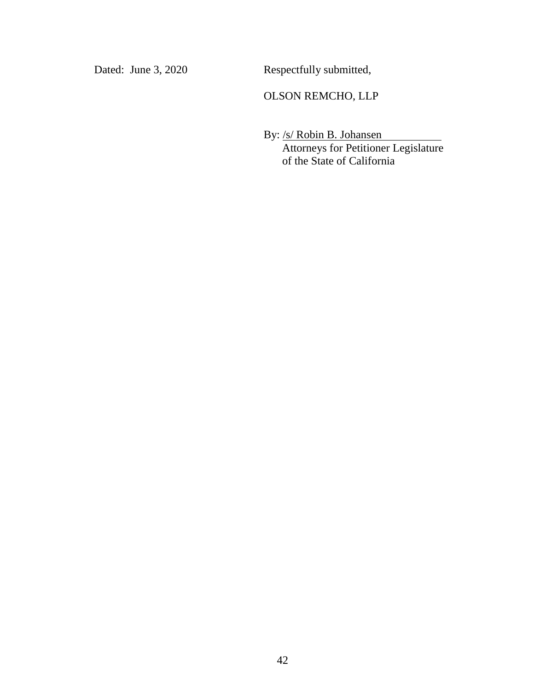Dated: June 3, 2020 Respectfully submitted,

### OLSON REMCHO, LLP

By: /s/ Robin B. Johansen Attorneys for Petitioner Legislature of the State of California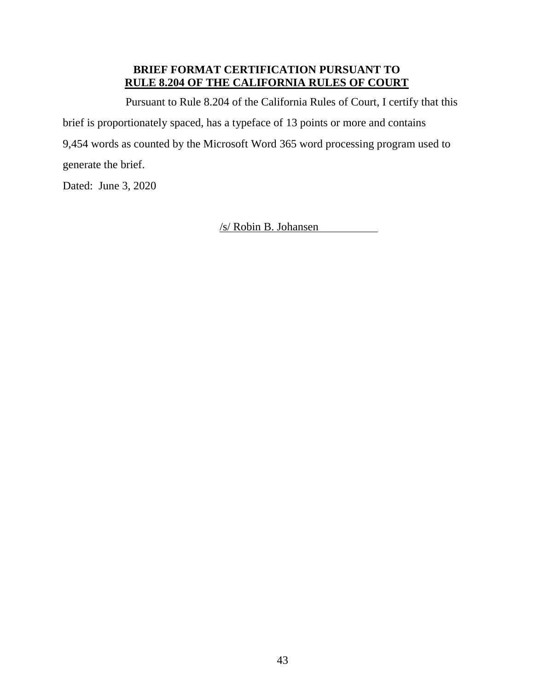### **BRIEF FORMAT CERTIFICATION PURSUANT TO RULE 8.204 OF THE CALIFORNIA RULES OF COURT**

Pursuant to Rule 8.204 of the California Rules of Court, I certify that this brief is proportionately spaced, has a typeface of 13 points or more and contains 9,454 words as counted by the Microsoft Word 365 word processing program used to generate the brief.

Dated: June 3, 2020

/s/ Robin B. Johansen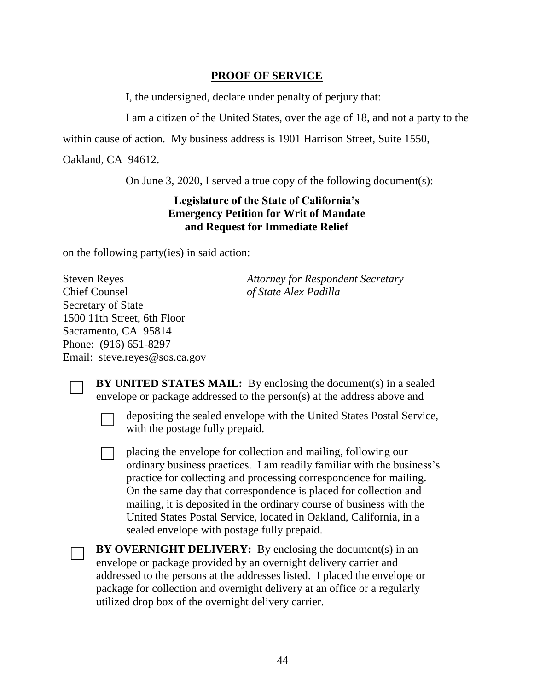### **PROOF OF SERVICE**

I, the undersigned, declare under penalty of perjury that:

I am a citizen of the United States, over the age of 18, and not a party to the

within cause of action. My business address is 1901 Harrison Street, Suite 1550,

Oakland, CA 94612.

On June 3, 2020, I served a true copy of the following document(s):

### **Legislature of the State of California's Emergency Petition for Writ of Mandate and Request for Immediate Relief**

on the following party(ies) in said action:

Steven Reyes Chief Counsel Secretary of State 1500 11th Street, 6th Floor Sacramento, CA 95814 Phone: (916) 651-8297 Email: steve.reyes@sos.ca.gov *Attorney for Respondent Secretary of State Alex Padilla*

**BY UNITED STATES MAIL:** By enclosing the document(s) in a sealed envelope or package addressed to the person(s) at the address above and

☐ depositing the sealed envelope with the United States Postal Service, with the postage fully prepaid.

☐ placing the envelope for collection and mailing, following our ordinary business practices. I am readily familiar with the business's practice for collecting and processing correspondence for mailing. On the same day that correspondence is placed for collection and mailing, it is deposited in the ordinary course of business with the United States Postal Service, located in Oakland, California, in a sealed envelope with postage fully prepaid.

**BY OVERNIGHT DELIVERY:** By enclosing the document(s) in an envelope or package provided by an overnight delivery carrier and addressed to the persons at the addresses listed. I placed the envelope or package for collection and overnight delivery at an office or a regularly utilized drop box of the overnight delivery carrier.